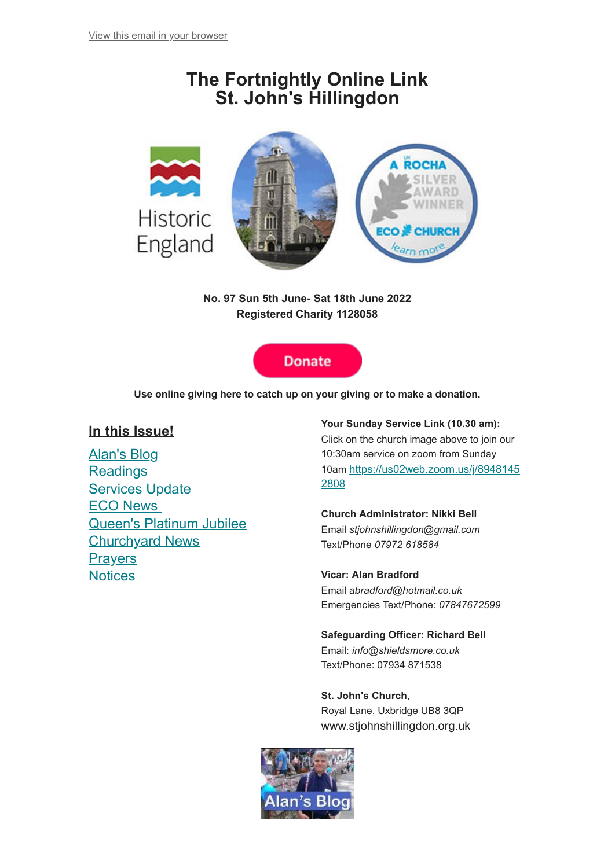# **The Fortnightly Online Link St. John's Hillingdon**



**No. 97 Sun 5th June- Sat 18th June 2022 Registered Charity 1128058**

## **Donate**

**Use online giving here to catch up on your giving or to make a donation.**

## **In this Issue!**

Alan's Blog [Readings](#page-2-0) **[Services Update](#page-3-0)** [ECO News](#page-3-1) [Queen's Platinum Jubilee](#page-4-0) [Churchyard News](#page-5-0) **[Prayers](#page-5-1) [Notices](#page-6-0)** 

## **Your Sunday Service Link (10.30 am):**

Click on the church image above to join our 10:30am service on zoom from Sunday 10am [https://us02web.zoom.us/j/8948145](https://us02web.zoom.us/j/89481452808) 2808

#### **Church Administrator: Nikki Bell** Email *stjohnshillingdon@gmail.com* Text/Phone *07972 618584*

**Vicar: Alan Bradford** Email *abradford@hotmail.co.uk* Emergencies Text/Phone: *07847672599*

**Safeguarding Officer: Richard Bell** Email: *info@shieldsmore.co.uk* Text/Phone: 07934 871538

**St. John's Church**, Royal Lane, Uxbridge UB8 3QP www.stjohnshillingdon.org.uk

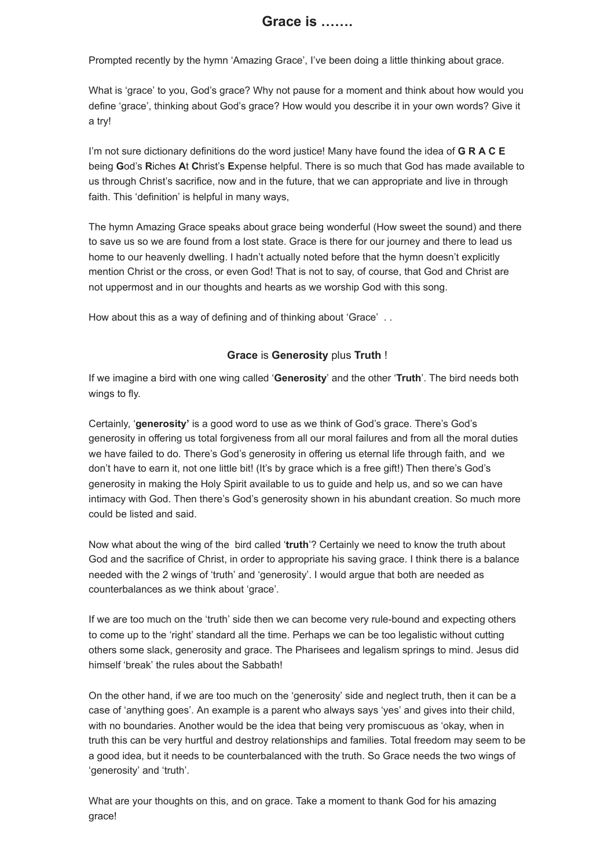Prompted recently by the hymn 'Amazing Grace', I've been doing a little thinking about grace.

What is 'grace' to you, God's grace? Why not pause for a moment and think about how would you define 'grace', thinking about God's grace? How would you describe it in your own words? Give it a try!

I'm not sure dictionary definitions do the word justice! Many have found the idea of **G R A C E** being **G**od's **R**iches **A**t **C**hrist's **E**xpense helpful. There is so much that God has made available to us through Christ's sacrifice, now and in the future, that we can appropriate and live in through faith. This 'definition' is helpful in many ways,

The hymn Amazing Grace speaks about grace being wonderful (How sweet the sound) and there to save us so we are found from a lost state. Grace is there for our journey and there to lead us home to our heavenly dwelling. I hadn't actually noted before that the hymn doesn't explicitly mention Christ or the cross, or even God! That is not to say, of course, that God and Christ are not uppermost and in our thoughts and hearts as we worship God with this song.

How about this as a way of defining and of thinking about 'Grace' ..

## **Grace** is **Generosity** plus **Truth** !

If we imagine a bird with one wing called '**Generosity**' and the other '**Truth**'. The bird needs both wings to fly.

Certainly, '**generosity'** is a good word to use as we think of God's grace. There's God's generosity in offering us total forgiveness from all our moral failures and from all the moral duties we have failed to do. There's God's generosity in offering us eternal life through faith, and we don't have to earn it, not one little bit! (It's by grace which is a free gift!) Then there's God's generosity in making the Holy Spirit available to us to guide and help us, and so we can have intimacy with God. Then there's God's generosity shown in his abundant creation. So much more could be listed and said.

Now what about the wing of the bird called '**truth**'? Certainly we need to know the truth about God and the sacrifice of Christ, in order to appropriate his saving grace. I think there is a balance needed with the 2 wings of 'truth' and 'generosity'. I would argue that both are needed as counterbalances as we think about 'grace'.

If we are too much on the 'truth' side then we can become very rule-bound and expecting others to come up to the 'right' standard all the time. Perhaps we can be too legalistic without cutting others some slack, generosity and grace. The Pharisees and legalism springs to mind. Jesus did himself 'break' the rules about the Sabbath!

On the other hand, if we are too much on the 'generosity' side and neglect truth, then it can be a case of 'anything goes'. An example is a parent who always says 'yes' and gives into their child, with no boundaries. Another would be the idea that being very promiscuous as 'okay, when in truth this can be very hurtful and destroy relationships and families. Total freedom may seem to be a good idea, but it needs to be counterbalanced with the truth. So Grace needs the two wings of 'generosity' and 'truth'.

What are your thoughts on this, and on grace. Take a moment to thank God for his amazing grace!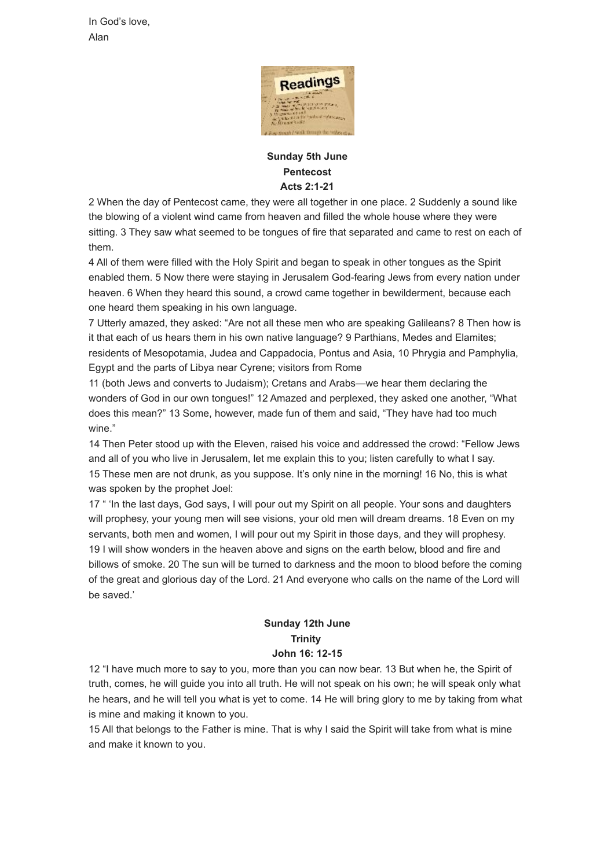In God's love, Alan



## <span id="page-2-0"></span>**Sunday 5th June Pentecost Acts 2:1-21**

2 When the day of Pentecost came, they were all together in one place. 2 Suddenly a sound like the blowing of a violent wind came from heaven and filled the whole house where they were sitting. 3 They saw what seemed to be tongues of fire that separated and came to rest on each of them.

4 All of them were filled with the Holy Spirit and began to speak in other tongues as the Spirit enabled them. 5 Now there were staying in Jerusalem God-fearing Jews from every nation under heaven. 6 When they heard this sound, a crowd came together in bewilderment, because each one heard them speaking in his own language.

7 Utterly amazed, they asked: "Are not all these men who are speaking Galileans? 8 Then how is it that each of us hears them in his own native language? 9 Parthians, Medes and Elamites; residents of Mesopotamia, Judea and Cappadocia, Pontus and Asia, 10 Phrygia and Pamphylia, Egypt and the parts of Libya near Cyrene; visitors from Rome

11 (both Jews and converts to Judaism); Cretans and Arabs—we hear them declaring the wonders of God in our own tongues!" 12 Amazed and perplexed, they asked one another, "What does this mean?" 13 Some, however, made fun of them and said, "They have had too much wine."

14 Then Peter stood up with the Eleven, raised his voice and addressed the crowd: "Fellow Jews and all of you who live in Jerusalem, let me explain this to you; listen carefully to what I say. 15 These men are not drunk, as you suppose. It's only nine in the morning! 16 No, this is what was spoken by the prophet Joel:

17 " 'In the last days, God says, I will pour out my Spirit on all people. Your sons and daughters will prophesy, your young men will see visions, your old men will dream dreams. 18 Even on my servants, both men and women, I will pour out my Spirit in those days, and they will prophesy. 19 I will show wonders in the heaven above and signs on the earth below, blood and fire and billows of smoke. 20 The sun will be turned to darkness and the moon to blood before the coming of the great and glorious day of the Lord. 21 And everyone who calls on the name of the Lord will be saved.'

## **Sunday 12th June Trinity John 16: 12-15**

12 "I have much more to say to you, more than you can now bear. 13 But when he, the Spirit of truth, comes, he will guide you into all truth. He will not speak on his own; he will speak only what he hears, and he will tell you what is yet to come. 14 He will bring glory to me by taking from what is mine and making it known to you.

15 All that belongs to the Father is mine. That is why I said the Spirit will take from what is mine and make it known to you.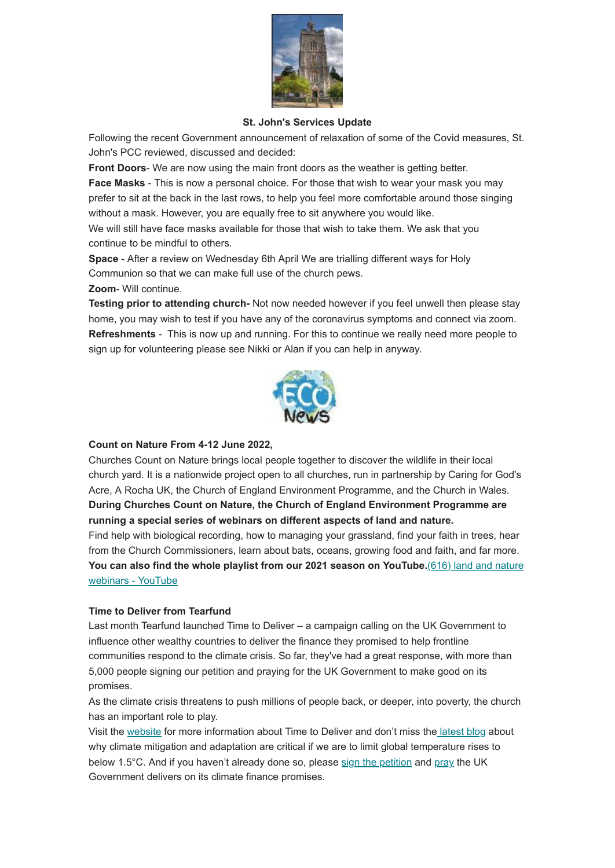

#### **St. John's Services Update**

<span id="page-3-0"></span>Following the recent Government announcement of relaxation of some of the Covid measures, St. John's PCC reviewed, discussed and decided:

**Front Doors**- We are now using the main front doors as the weather is getting better.

**Face Masks** - This is now a personal choice. For those that wish to wear your mask you may prefer to sit at the back in the last rows, to help you feel more comfortable around those singing without a mask. However, you are equally free to sit anywhere you would like.

We will still have face masks available for those that wish to take them. We ask that you continue to be mindful to others.

**Space** - After a review on Wednesday 6th April We are trialling different ways for Holy Communion so that we can make full use of the church pews.

#### **Zoom**- Will continue.

**Testing prior to attending church-** Not now needed however if you feel unwell then please stay home, you may wish to test if you have any of the coronavirus symptoms and connect via zoom. **Refreshments** - This is now up and running. For this to continue we really need more people to sign up for volunteering please see Nikki or Alan if you can help in anyway.



## <span id="page-3-1"></span>**Count on Nature From 4-12 June 2022,**

Churches Count on Nature brings local people together to discover the wildlife in their local church yard. It is a nationwide project open to all churches, run in partnership by Caring for God's Acre, A Rocha UK, the Church of England Environment Programme, and the Church in Wales. **During Churches Count on Nature, the Church of England Environment Programme are running a special series of webinars on different aspects of land and nature.** Find help with biological recording, how to managing your grassland, find your faith in trees, hear from the Church Commissioners, learn about bats, oceans, growing food and faith, and far more. **[You can also find the whole playlist from our 2021 season on YouTube.](https://www.youtube.com/playlist?list=PLcc_HT5TeqjpwXmnMDjMyC1-dbeZPCJOK)**(616) land and nature webinars - YouTube

#### **Time to Deliver from Tearfund**

Last month Tearfund launched Time to Deliver – a campaign calling on the UK Government to influence other wealthy countries to deliver the finance they promised to help frontline communities respond to the climate crisis. So far, they've had a great response, with more than 5,000 people signing our petition and praying for the UK Government to make good on its promises.

As the climate crisis threatens to push millions of people back, or deeper, into poverty, the church has an important role to play.

Visit the [website](https://www.tearfund.org/campaigns/climate-campaign?utm_source=Tearfund+Action&utm_campaign=66a8a3fb0d-EMAIL_CAMPAIGN_2022_05_24_02_11&utm_medium=email&utm_term=0_347a47338a-66a8a3fb0d-27691453&mc_cid=66a8a3fb0d&mc_eid=2958effbc7) for more information about Time to Deliver and don't miss th[e latest blog](https://www.tearfund.org/stories/2022/05/teetering-on-the-edge-of-one-point-five-degrees-and-what-to-do-about-it?utm_source=Tearfund+Action&utm_campaign=66a8a3fb0d-EMAIL_CAMPAIGN_2022_05_24_02_11&utm_medium=email&utm_term=0_347a47338a-66a8a3fb0d-27691453&mc_cid=66a8a3fb0d&mc_eid=2958effbc7) about why climate mitigation and adaptation are critical if we are to limit global temperature rises to below 1.5°C. And if you haven't already done so, please [sign the petition](https://www.tearfund.org/forms/climate-petition?utm_source=Tearfund+Action&utm_campaign=66a8a3fb0d-EMAIL_CAMPAIGN_2022_05_24_02_11&utm_medium=email&utm_term=0_347a47338a-66a8a3fb0d-27691453&mc_cid=66a8a3fb0d&mc_eid=2958effbc7) and [pray](https://www.tearfund.org/campaigns/climate-campaign/prayer-for-the-climate?utm_source=Tearfund+Action&utm_campaign=66a8a3fb0d-EMAIL_CAMPAIGN_2022_05_24_02_11&utm_medium=email&utm_term=0_347a47338a-66a8a3fb0d-27691453&mc_cid=66a8a3fb0d&mc_eid=2958effbc7) the UK Government delivers on its climate finance promises.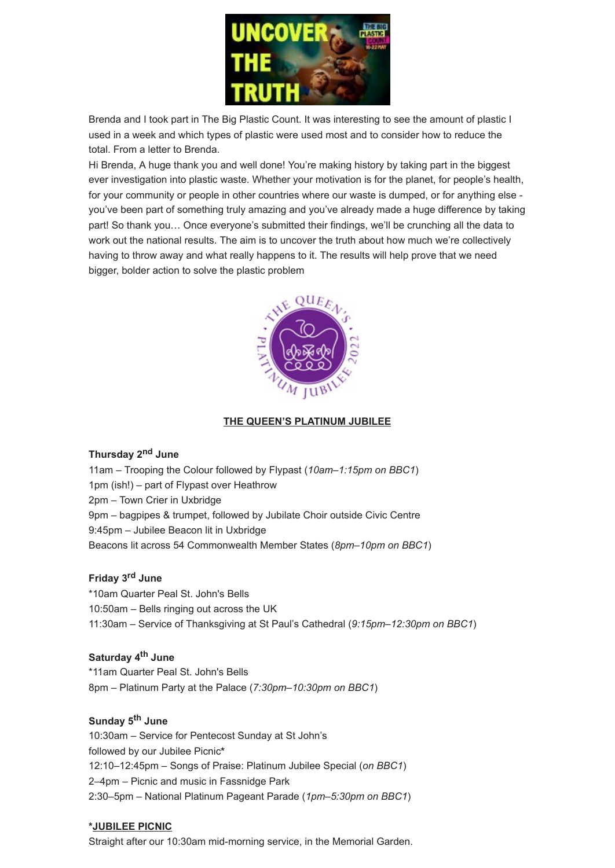

Brenda and I took part in The Big Plastic Count. It was interesting to see the amount of plastic I used in a week and which types of plastic were used most and to consider how to reduce the total. From a letter to Brenda.

Hi Brenda, A huge thank you and well done! You're making history by taking part in the biggest ever investigation into plastic waste. Whether your motivation is for the planet, for people's health, for your community or people in other countries where our waste is dumped, or for anything else you've been part of something truly amazing and you've already made a huge difference by taking part! So thank you… Once everyone's submitted their findings, we'll be crunching all the data to work out the national results. The aim is to uncover the truth about how much we're collectively having to throw away and what really happens to it. The results will help prove that we need bigger, bolder action to solve the plastic problem



## **THE QUEEN'S PLATINUM JUBILEE**

#### <span id="page-4-0"></span>**Thursday 2nd June**

11am – Trooping the Colour followed by Flypast (*10am–1:15pm on BBC1*) 1pm (ish!) – part of Flypast over Heathrow 2pm – Town Crier in Uxbridge 9pm – bagpipes & trumpet, followed by Jubilate Choir outside Civic Centre 9:45pm – Jubilee Beacon lit in Uxbridge Beacons lit across 54 Commonwealth Member States (*8pm–10pm on BBC1*)

#### **Friday 3rd June**

\*10am Quarter Peal St. John's Bells 10:50am – Bells ringing out across the UK 11:30am – Service of Thanksgiving at St Paul's Cathedral (*9:15pm–12:30pm on BBC1*)

## **Saturday 4th June**

\*11am Quarter Peal St. John's Bells 8pm – Platinum Party at the Palace (*7:30pm–10:30pm on BBC1*)

#### **Sunday 5th June**

10:30am – Service for Pentecost Sunday at St John's followed by our Jubilee Picnic**\*** 12:10–12:45pm – Songs of Praise: Platinum Jubilee Special (*on BBC1*) 2–4pm – Picnic and music in Fassnidge Park 2:30–5pm – National Platinum Pageant Parade (*1pm–5:30pm on BBC1*)

#### **\*JUBILEE PICNIC**

Straight after our 10:30am mid-morning service, in the Memorial Garden.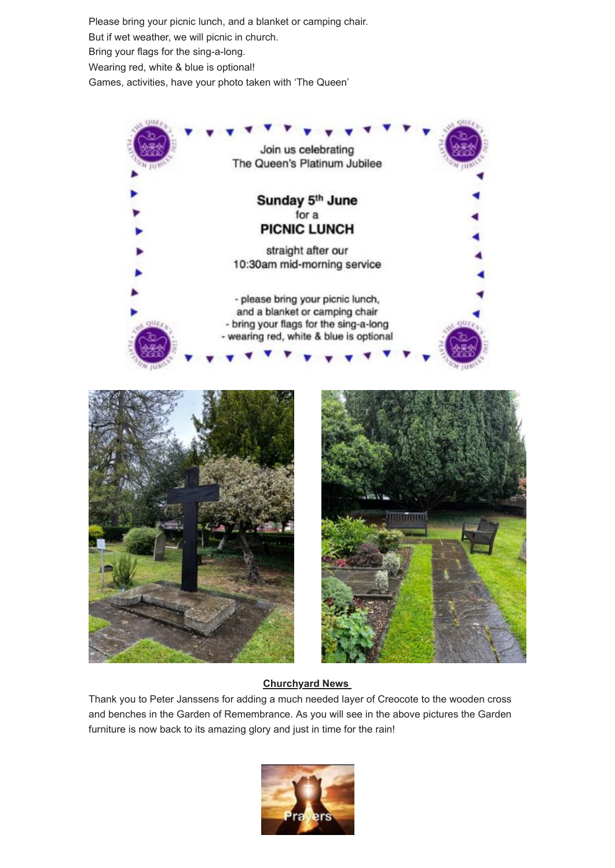Please bring your picnic lunch, and a blanket or camping chair. But if wet weather, we will picnic in church. Bring your flags for the sing-a-long. Wearing red, white & blue is optional! Games, activities, have your photo taken with 'The Queen'



## **Churchyard News**

<span id="page-5-1"></span><span id="page-5-0"></span>Thank you to Peter Janssens for adding a much needed layer of Creocote to the wooden cross and benches in the Garden of Remembrance. As you will see in the above pictures the Garden furniture is now back to its amazing glory and just in time for the rain!

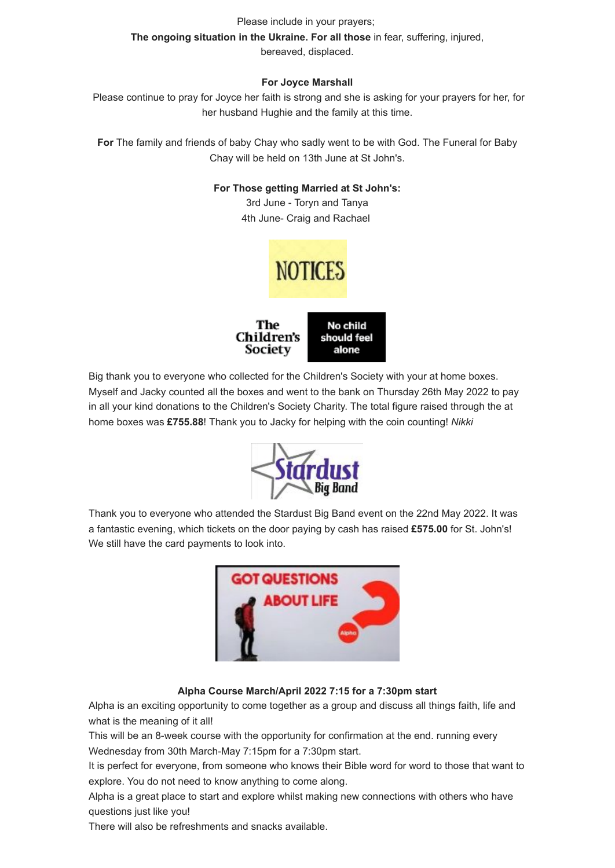## Please include in your prayers; **The ongoing situation in the Ukraine. For all those** in fear, suffering, injured,

bereaved, displaced.

## **For Joyce Marshall**

Please continue to pray for Joyce her faith is strong and she is asking for your prayers for her, for her husband Hughie and the family at this time.

**For** The family and friends of baby Chay who sadly went to be with God. The Funeral for Baby Chay will be held on 13th June at St John's.

## **For Those getting Married at St John's:**

3rd June - Toryn and Tanya 4th June- Craig and Rachael



<span id="page-6-0"></span>Big thank you to everyone who collected for the Children's Society with your at home boxes. Myself and Jacky counted all the boxes and went to the bank on Thursday 26th May 2022 to pay in all your kind donations to the Children's Society Charity. The total figure raised through the at home boxes was **£755.88**! Thank you to Jacky for helping with the coin counting! *Nikki*



Thank you to everyone who attended the Stardust Big Band event on the 22nd May 2022. It was a fantastic evening, which tickets on the door paying by cash has raised **£575.00** for St. John's! We still have the card payments to look into.



## **Alpha Course March/April 2022 7:15 for a 7:30pm start**

Alpha is an exciting opportunity to come together as a group and discuss all things faith, life and what is the meaning of it all!

This will be an 8-week course with the opportunity for confirmation at the end. running every Wednesday from 30th March-May 7:15pm for a 7:30pm start.

It is perfect for everyone, from someone who knows their Bible word for word to those that want to explore. You do not need to know anything to come along.

Alpha is a great place to start and explore whilst making new connections with others who have questions just like you!

There will also be refreshments and snacks available.